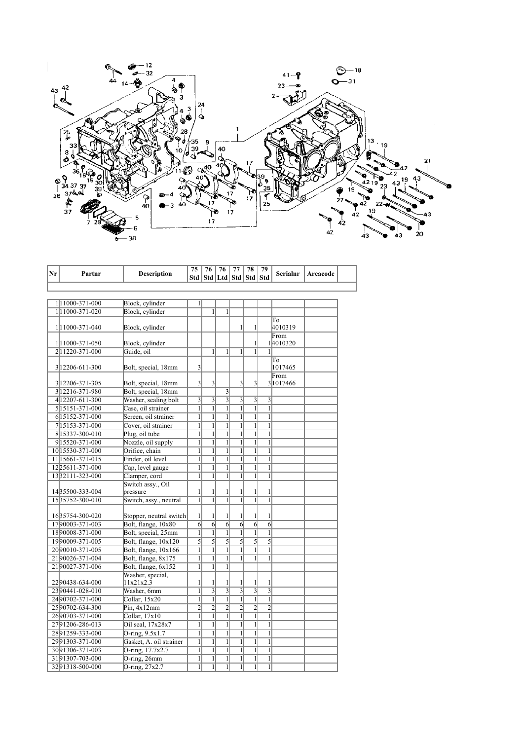

| Nr | Partnr                             | <b>Description</b>      | 75                  | 76                  | 76                  | 77<br>  Std   Std   Ltd   Std   Std | 78                        | 79<br>Std               | Serialnr | Areacode |  |
|----|------------------------------------|-------------------------|---------------------|---------------------|---------------------|-------------------------------------|---------------------------|-------------------------|----------|----------|--|
|    |                                    |                         |                     |                     |                     |                                     |                           |                         |          |          |  |
|    |                                    |                         |                     |                     |                     |                                     |                           |                         |          |          |  |
|    | 111000-371-000                     | Block, cylinder         | $\mathbf{1}$        |                     |                     |                                     |                           |                         |          |          |  |
|    | 111000-371-020                     | Block, cylinder         |                     | $\mathbf{1}$        | $\mathbf{1}$        |                                     |                           |                         |          |          |  |
|    |                                    |                         |                     |                     |                     |                                     |                           |                         | To       |          |  |
|    | 1 11000-371-040                    | Block, cylinder         |                     |                     |                     | 1                                   | $\mathbf{1}$              |                         | 4010319  |          |  |
|    |                                    |                         |                     |                     |                     |                                     |                           |                         | From     |          |  |
|    | 1 11000-371-050                    | Block, cylinder         |                     |                     |                     |                                     | $\mathbf{1}$              |                         | 14010320 |          |  |
|    | 211220-371-000                     | Guide, oil              |                     | 1                   | 1                   | 1                                   | $\mathbf{1}$              | 1                       |          |          |  |
|    |                                    |                         |                     |                     |                     |                                     |                           |                         | Tо       |          |  |
|    | 3 12206-611-300                    | Bolt, special, 18mm     | 3                   |                     |                     |                                     |                           |                         | 1017465  |          |  |
|    |                                    |                         |                     |                     |                     |                                     |                           |                         | From     |          |  |
|    | 3 1220 6 - 371 - 305               | Bolt, special, 18mm     | 3                   | 3                   |                     | $\overline{\mathbf{3}}$             | $\overline{\mathbf{3}}$   |                         | 31017466 |          |  |
|    | 3 12216-371-980                    | Bolt, special, 18mm     |                     |                     | 3                   |                                     |                           |                         |          |          |  |
|    | 4 12207-611-300                    | Washer, sealing bolt    | 3                   | 3                   | $\overline{3}$      | $\overline{\mathbf{3}}$             | 3                         | 3                       |          |          |  |
|    | 5 15151-371-000                    | Case, oil strainer      | $\overline{1}$      | $\overline{1}$      | $\overline{1}$      | $\overline{1}$                      | $\overline{1}$            | $\overline{1}$          |          |          |  |
|    | 6 15152-371-000                    | Screen, oil strainer    | $\mathbf{1}$        | $\overline{1}$      | $\overline{1}$      | $\mathbf{1}$                        | $\mathbf{1}$              | $\mathbf{1}$            |          |          |  |
|    | 715153-371-000                     | Cover, oil strainer     | $\overline{1}$      | $\overline{1}$      | $\overline{1}$      | $\overline{1}$                      | $\overline{1}$            | $\overline{1}$          |          |          |  |
|    | 8 15337-300-010                    | Plug, oil tube          | $\mathbf{1}$        | $\mathbf{1}$        | $\overline{1}$      | $\mathbf{1}$                        | $\overline{1}$            | $\mathbf{1}$            |          |          |  |
|    | 915520-371-000                     | Nozzle, oil supply      | $\mathbf{1}$        | $\overline{1}$      | $\overline{1}$      | $\mathbf{1}$                        | $\overline{1}$            | $\mathbf{1}$            |          |          |  |
|    | 10 15530-371-000                   | Orifice, chain          | $\mathbf{1}$        | $\mathbf{1}$        | $\mathbf{1}$        | 1                                   | $\mathbf{1}$              | $\mathbf{1}$            |          |          |  |
|    | 11 15661-371-015                   | Finder, oil level       | $\overline{1}$      | $\overline{1}$      | $\overline{1}$      | $\mathbf{1}$                        | $\overline{1}$            | $\overline{1}$          |          |          |  |
|    | 12 25 6 1 1 - 3 7 1 - 0 0 0        | Cap, level gauge        | $\overline{1}$      | $\overline{1}$      | $\overline{1}$      | $\mathbf{1}$                        | $\overline{1}$            | $\overline{1}$          |          |          |  |
|    | 1332111-323-000                    | Clamper, cord           | $\mathbf{1}$        | $\overline{1}$      | $\mathbf{1}$        | $\mathbf{1}$                        | $\overline{1}$            | $\mathbf{1}$            |          |          |  |
|    |                                    | Switch assy., Oil       |                     |                     |                     |                                     |                           |                         |          |          |  |
|    | 1435500-333-004<br>1535752-300-010 | pressure                | 1<br>$\overline{1}$ | 1<br>$\overline{1}$ | 1<br>$\overline{1}$ | 1<br>$\overline{1}$                 | 1<br>$\overline{1}$       | 1<br>$\overline{1}$     |          |          |  |
|    |                                    | Switch, assy., neutral  |                     |                     |                     |                                     |                           |                         |          |          |  |
|    | 1635754-300-020                    | Stopper, neutral switch | $\mathbf{1}$        | $\mathbf{1}$        | 1                   | 1                                   | $\mathbf{1}$              | 1                       |          |          |  |
|    | 1790003-371-003                    | Bolt, flange, 10x80     | 6                   | 6                   | $\overline{6}$      | $\overline{6}$                      | $\overline{6}$            | 6                       |          |          |  |
|    | 1890008-371-000                    | Bolt, special, 25mm     | $\overline{1}$      | $\overline{1}$      | $\overline{1}$      | $\mathbf{1}$                        | $\mathbf{1}$              | $\mathbf{1}$            |          |          |  |
|    | 1990009-371-005                    | Bolt, flange, 10x120    | 5                   | $\overline{5}$      | 5                   | 5                                   | 5                         | 5                       |          |          |  |
|    | 2090010-371-005                    | Bolt, flange, 10x166    | $\overline{1}$      | $\overline{1}$      | $\overline{1}$      | $\mathbf{1}$                        | $\overline{1}$            | $\mathbf{1}$            |          |          |  |
|    | 2190026-371-004                    | Bolt, flange, 8x175     | $\mathbf{1}$        | $\mathbf{1}$        | $\mathbf{1}$        | $\mathbf{1}$                        | $\mathbf{1}$              | $\mathbf{1}$            |          |          |  |
|    | 2190027-371-006                    | Bolt, flange, 6x152     | $\mathbf{1}$        | $\mathbf{1}$        | $\overline{1}$      |                                     |                           |                         |          |          |  |
|    |                                    | Washer, special,        |                     |                     |                     |                                     |                           |                         |          |          |  |
|    | 2290438-634-000                    | 11x21x2.3               | 1                   | 1                   | 1                   | 1                                   | $\mathbf{1}$              | 1                       |          |          |  |
|    | 2390441-028-010                    | Washer, 6mm             | $\overline{1}$      |                     | $\overline{3}$      | $\overline{3}$                      | $\overline{\overline{3}}$ | $\overline{\mathbf{3}}$ |          |          |  |
|    | 2490702-371-000                    | Collar, 15x20           | $\mathbf{1}$        | $\overline{1}$      | $\overline{1}$      | $\overline{1}$                      | $\overline{1}$            | $\mathbf{1}$            |          |          |  |
|    | 2590702-634-300                    | Pin, 4x12mm             | $\overline{2}$      | $\overline{c}$      | $\overline{c}$      | $\overline{c}$                      | $\overline{2}$            | $\overline{c}$          |          |          |  |
|    | 2690703-371-000                    | Collar, 17x10           | $\mathbf{1}$        | $\overline{1}$      | $\overline{1}$      | $\mathbf{1}$                        | $\overline{1}$            | $\mathbf{1}$            |          |          |  |
|    | 2791206-286-013                    | Oil seal, 17x28x7       | $\mathbf{1}$        | $\mathbf{1}$        | $\overline{1}$      | $\mathbf{1}$                        | $\overline{1}$            | $\mathbf{1}$            |          |          |  |
|    | 2891259-333-000                    | O-ring, 9.5x1.7         | $\overline{1}$      | $\overline{1}$      | $\overline{1}$      | $\overline{1}$                      | $\overline{1}$            | $\overline{1}$          |          |          |  |
|    | 2991303-371-000                    | Gasket, A. oil strainer | $\mathbf{1}$        | $\mathbf{1}$        | $\mathbf{1}$        | $\mathbf{1}$                        | $\overline{1}$            | $\mathbf{1}$            |          |          |  |
|    | 3091306-371-003                    | O-ring, 17.7x2.7        | $\mathbf{1}$        | $\overline{1}$      | $\overline{1}$      | $\mathbf{1}$                        | $\overline{1}$            | $\mathbf{1}$            |          |          |  |
|    | 3191307-703-000                    | O-ring, 26mm            | $\mathbf{1}$        | $\mathbf{1}$        | $\mathbf{1}$        | 1                                   | $\mathbf{1}$              | 1                       |          |          |  |
|    | 3291318-500-000                    | O-ring, 27x2.7          | $\mathbf{1}$        | $\mathbf{1}$        | $\mathbf{1}$        | $\mathbf{1}$                        | $\mathbf{1}$              | $\mathbf{1}$            |          |          |  |